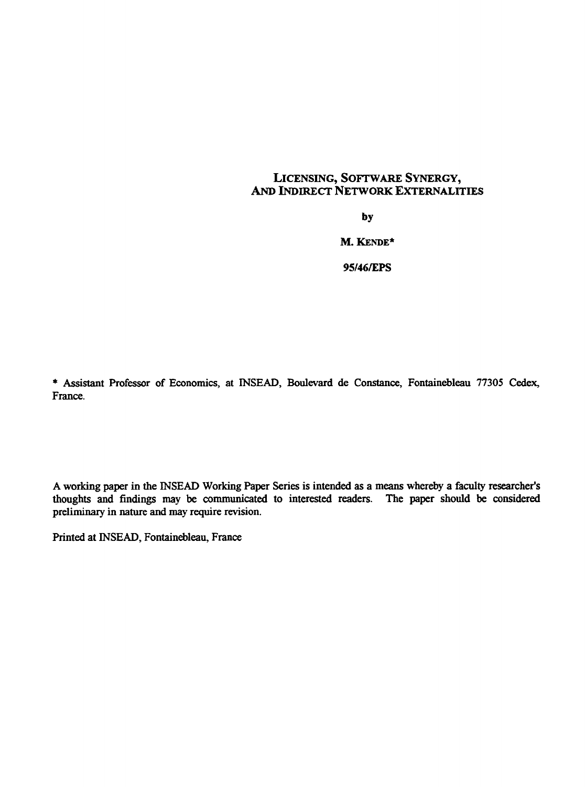#### LICENSING, SOFTWARE SYNERGY, AND INDIRECT NETWORK EXTERNALITIES

**by**

**M. KENDE\***

**95/46/EPS**

\* Assistant Professor of Economics, at INSEAD, Boulevard de Constance, Fontainebleau 77305 Cedex, France.

A working paper in the INSEAD Working Paper Sertes is intended *as a* means whereby a faculty researcher's thoughts and findings may be conununicated to interested readers. The paper should be considered preliminary in nature and may require revision.

Printed at INSEAD, Fontainebleau, France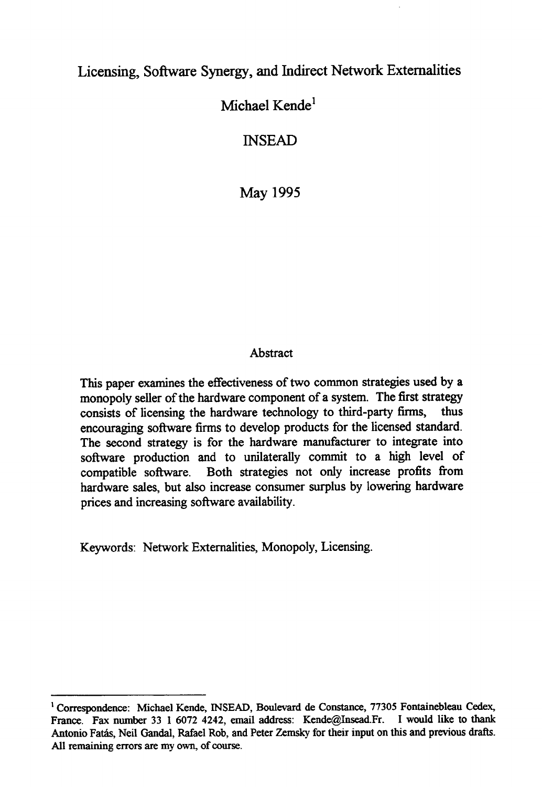## Licensing, Software Synergy, and Indirect Network Externalities

# Michael Kende<sup>1</sup>

## INSEAD

May 1995

### Abstract

This paper examines the effectiveness of two common strategies used by a monopoly seller of the hardware component of a system. The first strategy consists of licensing the hardware technology to third-party firms, thus encouraging software firms to develop products for the licensed standard. The second strategy is for the hardware manufacturer to integrate into software production and to unilaterally commit to a high level of compatible software. Both strategies not only increase profits from hardware sales, but also increase consumer surplus by lowering hardware prices and increasing software availability.

Keywords: Network Externalities, Monopoly, Licensing.

<sup>&</sup>lt;sup>1</sup> Correspondence: Michael Kende, INSEAD, Boulevard de Constance, 77305 Fontainebleau Cedex, France. Fax number 33 1 6072 4242, email address: Kende@Insead.Fr. I would like to thank Antonio Fatâs, Neil Gandal, Rafael Rob, and Peter Zemsky for their input on this and previous drafts. All remaining errors are my own, of course.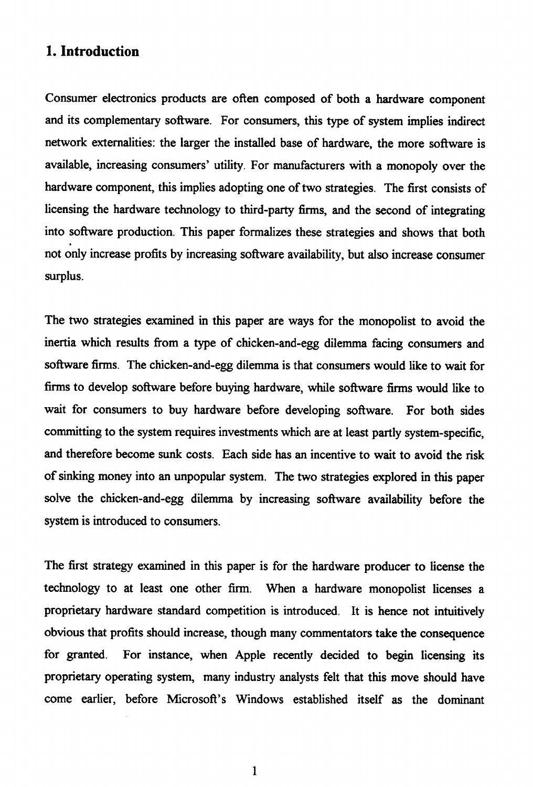## **1. Introduction**

Consumer electronics products are often composed of both a hardware component and its complementary software. For consumers, this type of system implies indirect network externalities: the larger the installed base of hardware, the more software is available, increasing consumers' utility. For manufacturera with a monopoly over the hardware component, this implies adopting one of two strategies. The first consists of licensing the hardware technology to third-party firms, and the second of integrating into software production. This paper formalizes these strategies and shows that both not only increase profits by increasing software availability, but also increase consumer surplus.

The two strategies examined in this paper are ways for the monopolist to avoid the inertia which results from a type of chicken-and-egg dilemma facing consumers and software firms. The chicken-and-egg dilemma is that consumers would like to wait for firms to develop software before buying hardware, while software firms would like to wait for consumers to buy hardware before developing software. For both sides committing to the system requires investments which are at least partly system-specific, and therefore become sunk costs. Each side has an incentive to wait to avoid the risk of sinking money into an unpopular system. The two strategies explored in this paper solve the chicken-and-egg dilemma by increasing software availability before the system is introduced to consumers.

The first strategy examined in this paper is for the hardware producer to license the technology to at least one other firm. When a hardware monopolist licenses a proprietary hardware standard competition is introduced. It is hence not intuitively obvious that profits should increase, though many commentators take the consequence for granted. For instance, when Apple recently decided to begin licensing its proprietary operating system, many industry analysts felt that this move should have corne earlier, before Microsoft's Windows established itself as the dominant

1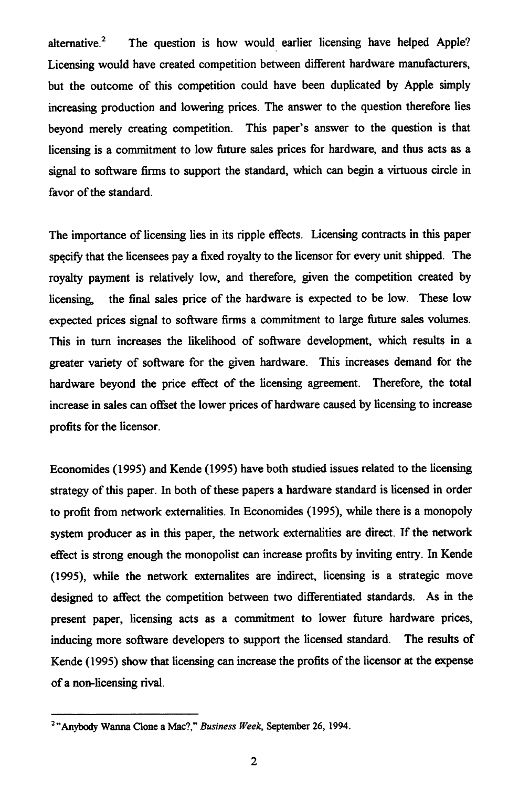alternative.<sup>2</sup> The question is how would earlier licensing have helped Apple? Licensing would have created competition between different hardware manufacturers, but the outcome of this competition could have been duplicated by Apple simply increasing production and lowering prices. The answer to the question therefore lies beyond merely creating competition. This paper's answer to the question is that licensing is a commitment to low future sales prices for hardware, and thus acts as a signal to software firms to support the standard, which can begin a virtuous circle in favor of the standard.

The importance of licensing lies in its ripple effects. Licensing contracts in this paper specify that the licensees pay a fixed royalty to the licensor for every unit shipped. The royalty payment is relatively low, and therefore, given the competition created by licensing, the final sales price of the hardware is expected to be low. These low expected prices signal to software firms a commitment to large future sales volumes. This in turn increases the likelihood of software development, which results in a greater variety of software for the given hardware. This increases demand for the hardware beyond the price effect of the licensing agreement. Therefore, the total increase in sales can offset the lower prices of hardware caused by licensing to increase profits for the licensor.

Economides (1995) and Kende (1995) have both studied issues related to the licensing strategy of this paper. In both of these papers a hardware standard is licensed in order to profit from network externalities. In Economides (1995), while there is a monopoly system producer as in this paper, the network externalities are direct. If the network effect is strong enough the monopolist can increase profits by inviting entry. In Kende (1995), while the network externalites are indirect, licensing is a strategic move designed to affect the competition between two differentiated standards. As in the present paper, licensing acts as a commitment to lower future hardware prices, inducing more software developers to support the licensed standard. The results of Kende (1995) show that licensing can increase the profits of the licensor at the expense of a non-licensing rival.

<sup>2</sup> "Anybody Wanna Clone a Mac?," *Business Week,* September 26, 1994.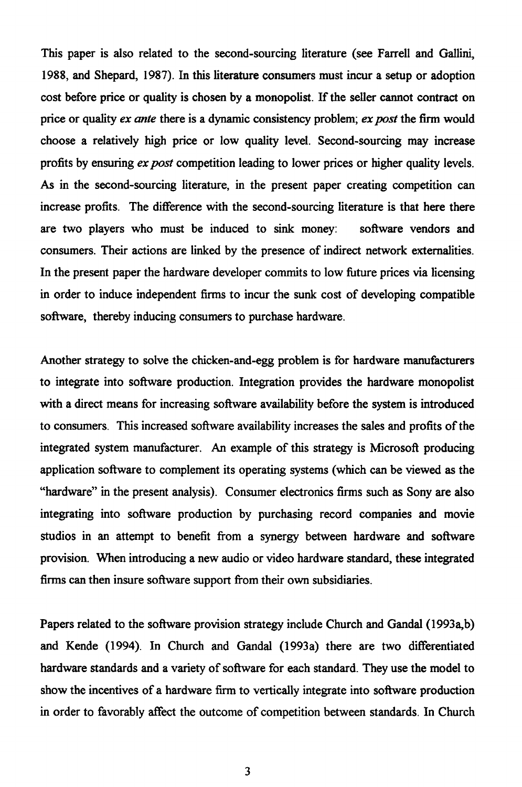This paper is also related to the second-sourcing literature (see Farrell and Gallini, 1988, and Shepard, 1987). In this literature consumers must incur a setup or adoption cost before price or quality is chosen by a monopolist. If the seller cannot contract on price or quality *ex ante* there is a dynamic consistency problem; *ex post* the firm would choose a relatively high price or low quality level. Second-sourcing may increase profits by ensuring *ex post* competition leading to lower prices or higher quality levels. As in the second-sourcing literature, in the present paper creating competition can increase profits. The difference with the second-sourcing literature is that here there are two players who must be induced to sink money: software vendors and consumers. Their actions are linked by the presence of indirect network externalities. In the present paper the hardware developer commits to low future prices via licensing in order to induce independent firms to incur the sunk cost of developing compatible software, thereby inducing consumers to purchase hardware.

Another strategy to solve the chicken-and-egg problem is for hardware manufacturers to integrate into software production. Integration provides the hardware monopolist with a direct means for increasing software availability before the system is introduced to consumers. This increased software availability increases the sales and profits of the integrated system manufacturer. An example of this strategy is Microsoft producing application software to complement its operating systems (which can be viewed as the "hardware" in the present analysis). Consumer electronics firms such as Sony are also integrating into software production by purchasing record companies and movie studios in an attempt to benefit from a synergy between hardware and software provision. When introducing a new audio or video hardware standard, these integrated firms can then insure software support from their own subsidiaries.

Papers related to the software provision strategy include Church and Gandal (1993a,b) and Kende (1994). In Church and Gandal (1993a) there are two differentiated hardware standards and a variety of software for each standard. They use the model to show the incentives of a hardware firm to vertically integrate into software production in order to favorably affect the outcome of competition between standards. In Church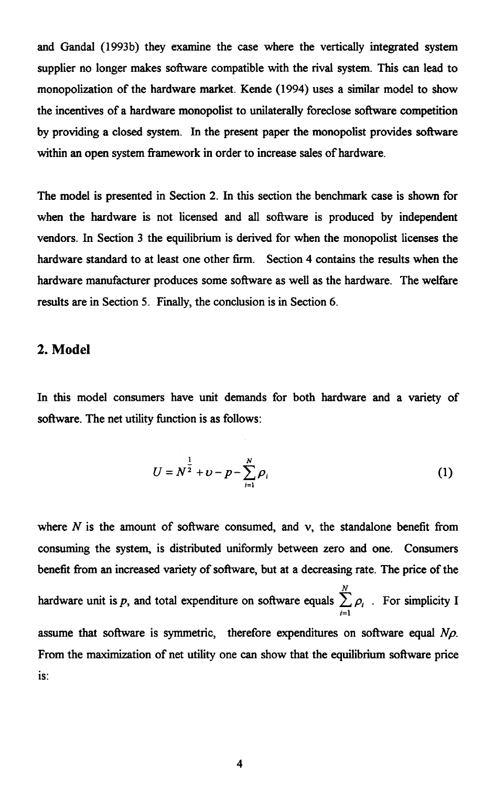and Gandal (1993b) they examine the case where the vertically integrated system supplier no longer makes software compatible with the rival system. This can lead to monopolization of the hardware market. Kende (1994) uses a similar model to show the incentives of a hardware monopolist to unilaterally foreclose software competition by providing a closed system. In the present paper the monopolist provides software within an open system framework in order to increase sales of hardware.

The model is presented in Section 2. In this section the benchmark case is shown for when the hardware is not licensed and all software is produced by independent vendors. In Section 3 the equilibrium is derived for when the monopolist licenses the hardware standard to at least one other firm. Section 4 contains the results when the hardware manufacturer produces some software as well as the hardware. The welfare results are in Section 5. Finally, the conclusion is in Section 6.

### **2. Model**

In this model consumers have unit demands for both hardware and a variety of software. The net utility function is as follows:

$$
U = N^{\frac{1}{2}} + \nu - p - \sum_{i=1}^{N} \rho_i
$$
 (1)

where  $N$  is the amount of software consumed, and  $\nu$ , the standalone benefit from consuming the system, is distributed uniformly between zero and one. Consumers benefit from an increased variety of software, but at a decreasing rate. The price of the hardware unit is p, and total expenditure on software equals  $\sum_{i=1}^{n} \rho_i$ . For simplicity I *i=1* assume that software is symmetric, therefore expenditures on software equal *Np.* From the maximization of net utility one can show that the equilibrium software price is: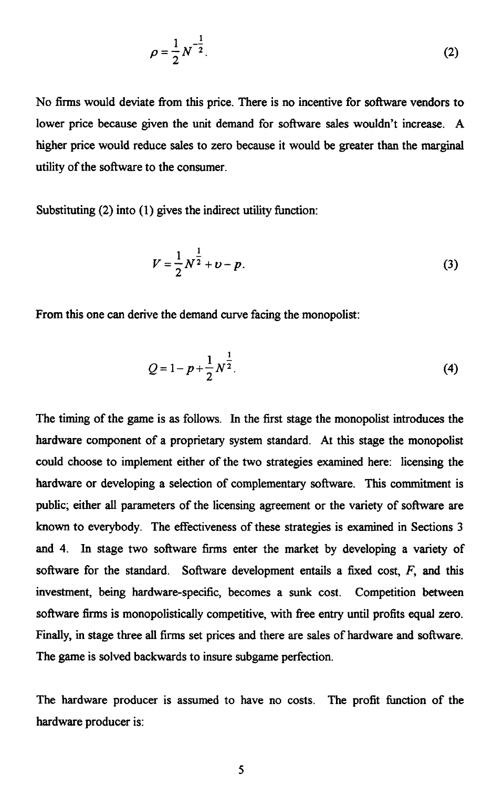$$
\rho = \frac{1}{2} N^{-\frac{1}{2}}.
$$
 (2)

No firms would deviate from this price. There is no incentive for software vendors to lower price because given the unit demand for software sales wouldn't increase. A higher price would reduce sales to zero because it would be greater than the marginal utility of the software to the consumer.

Substituting (2) into (1) gives the indirect utility function:

$$
V = \frac{1}{2}N^{\frac{1}{2}} + \nu - p.
$$
 (3)

From this one can derive the demand curve facing the monopolist:

$$
Q = 1 - p + \frac{1}{2} N^{\frac{1}{2}}.
$$
 (4)

The timing of the game is as follows. In the first stage the monopolist introduces the hardware component of a proprietary system standard. At this stage the monopolist could choose to implement either of the two strategies examined here: licensing the hardware or developing a selection of complementary software. This commitment is public; either all parameters of the licensing agreement or the variety of software are known to everybody. The effectiveness of these strategies is examined in Sections 3 and 4. In stage two software firms enter the market by developing a variety of software for the standard. Software development entails a fixed cost, *F,* and this investment, being hardware-specific, becomes a sunk cost. Competition between software firms is monopolistically competitive, with free entry until profits equal zero. Finally, in stage three all firms set prices and there are sales of hardware and software. The game is solved backwards to insure subgame perfection.

The hardware producer is assumed to have no costs. The profit function of the hardware producer is: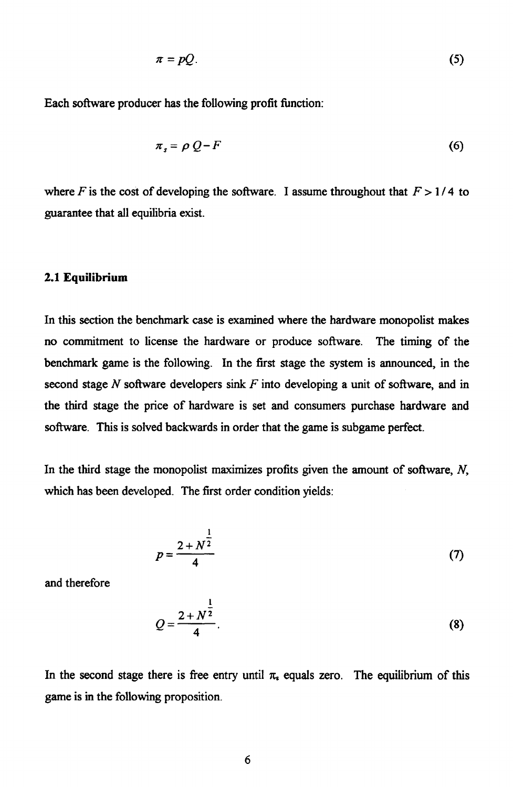$$
\pi = pQ. \tag{5}
$$

Each software producer has the following profit function:

$$
\pi_s = \rho \ Q - F \tag{6}
$$

where *F* is the cost of developing the software. I assume throughout that  $F > 1/4$  to guarantee that all equilibria exist.

#### **2.1 Equilibrium**

In this section the benchmark case is examined where the hardware monopolist makes no commitment to license the hardware or produce software. The timing of the benchmark game is the following. In the first stage the system is announced, in the second stage *N* software developers sink *F* into developing a unit of software, and in the third stage the price of hardware is set and consumers purchase hardware and software. This is solved backwards in order that the game is subgame perfect.

In the third stage the monopolist maximizes profits given the amount of software, *N,* which has been developed. The first order condition yields:

$$
p = \frac{2 + N^{\frac{1}{2}}}{4}
$$
 (7)

and therefore

$$
Q = \frac{2 + N^{\frac{1}{2}}}{4}.
$$
 (8)

In the second stage there is free entry until  $\pi_s$  equals zero. The equilibrium of this game is in the following proposition.

 $\ddot{\phantom{a}}$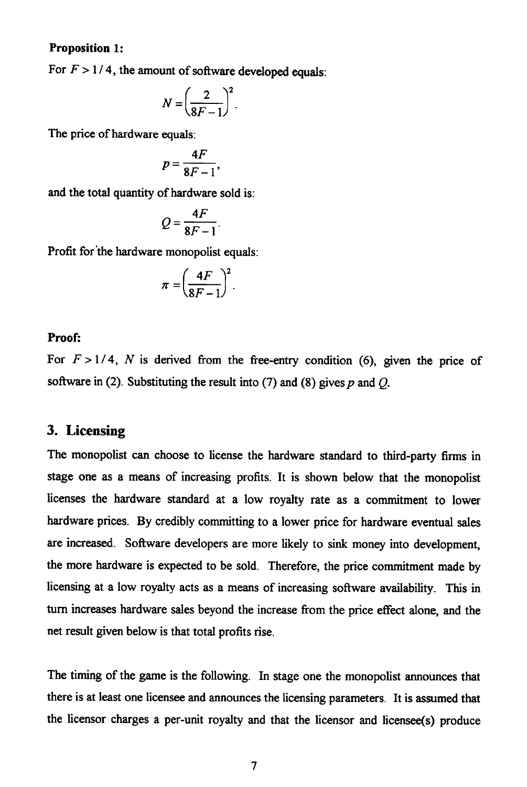#### **Proposition 1:**

For  $F > 1/4$ , the amount of software developed equals:

$$
N = \left(\frac{2}{8F-1}\right)^2.
$$

The price of hardware equals:

$$
p=\frac{4F}{8F-1},
$$

and the total quantity of hardware sold is:

$$
Q=\frac{4F}{8F-1}.
$$

Profit for the hardware monopolist equals:

$$
\pi = \left(\frac{4F}{8F-1}\right)^2.
$$

#### **Proof:**

For  $F > 1/4$ , *N* is derived from the free-entry condition (6), given the price of software in (2). Substituting the result into (7) and (8) gives p and *Q.*

## **3. Licensing**

The monopolist can choose to license the hardware standard to third-party firms in stage one as a means of increasing profits. It is shown below that the monopolist licenses the hardware standard at a low royalty rate as a commitment to lower hardware prices. By credibly committing to a lower price for hardware eventual sales are increased. Software developers are more likely to sink money into development, the more hardware is expected to be sold. Therefore, the price commitment made by licensing at a low royalty acts as a means of increasing software availability. This in turn increases hardware sales beyond the increase from the price effect alone, and the net result given below is that total profits rise.

The timing of the game is the following. In stage one the monopolist announces that there is at least one licensee and announces the licensing parameters. It is assumed that the licensor charges a per-unit royalty and that the licensor and licensee(s) produce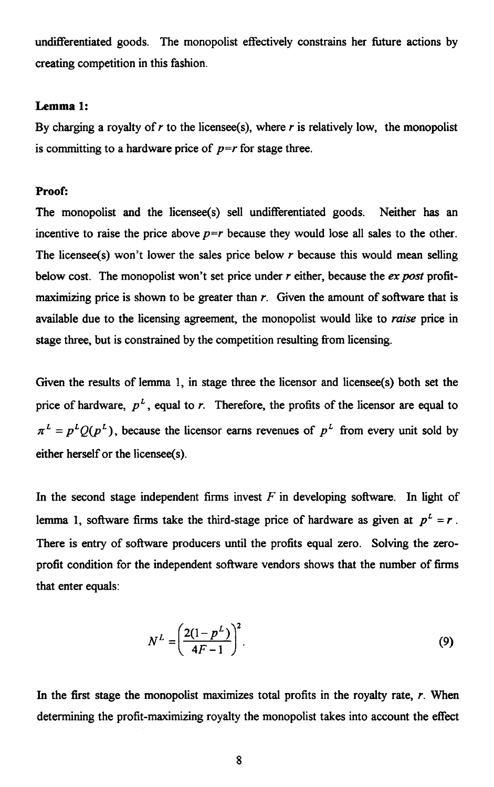undifferentiated goods. The monopolist effectively constrains her future actions by creating competition in this fashion.

#### **Lemma 1:**

By charging a royalty of  $r$  to the licensee(s), where  $r$  is relatively low, the monopolist is committing to a hardware price of  $p=r$  for stage three.

#### **Proof:**

The monopolist and the licensee(s) sell undifferentiated goods. Neither has an incentive to raise the price above  $p=r$  because they would lose all sales to the other. The licensee(s) won't lower the sales price below *r* because this would mean selling below cost. The monopolist won't set price under *r* either, because the *ex post* profitmaximizing price is shown to be greater than *r*. Given the amount of software that is available due to the licensing agreement, the monopolist would like to *raise* price in stage three, but is constrained by the competition resulting from licensing.

Given the results of lemma 1, in stage three the licensor and licensee(s) both set the price of hardware,  $p<sup>L</sup>$ , equal to *r*. Therefore, the profits of the licensor are equal to  $L^L = p^L Q(p^L)$ , because the licensor earns revenues of  $p^L$  from every unit sold by either herself or the licensee(s).

In the second stage independent firms invest  $F$  in developing software. In light of lemma 1, software firms take the third-stage price of hardware as given at  $p^2 = r$ . There is entry of software producers until the profits equal zero. Solving the zeroprofit condition for the independent software vendors shows that the number of firms that enter equals:

$$
N^{L} = \left(\frac{2(1 - p^{L})}{4F - 1}\right)^{2}.
$$
 (9)

In the first stage the monopolist maximizes total profits in the royalty rate, *r.* When determining the profit-maximizing royalty the monopolist takes into account the effect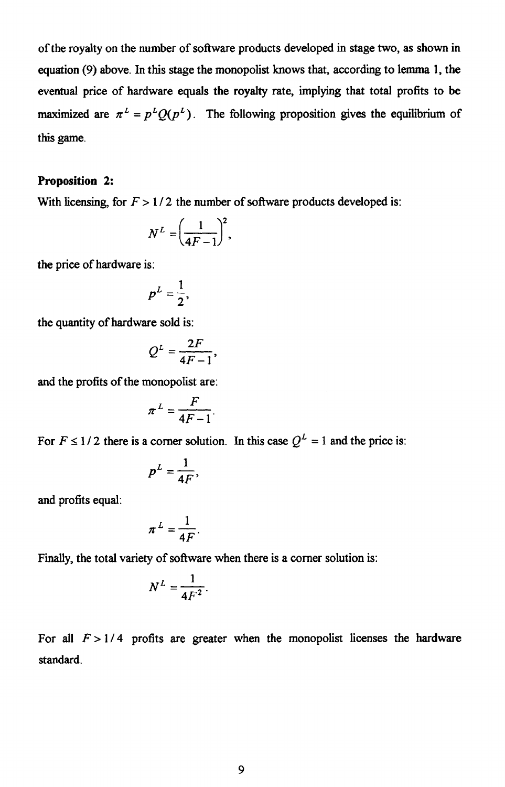of the royalty on the number of software products developed in stage two, as shown in equation (9) above. In this stage the monopolist knows that, according to lemma 1, the eventual price of hardware equals the royalty rate, implying that total profits to be eventual price of hatawate equals the toyally rate, implying that total profits to be<br>maximized are  $\pi^L = p^L Q(p^L)$ . The following proposition gives the equilibrium of this game.

#### **Proposition** 2:

With licensing, for  $F > 1/2$  the number of software products developed is:

> 1/2 the number  
\n
$$
N^{L} = \left(\frac{1}{4F-1}\right)^{2},
$$
\nis:  
\n
$$
P^{L} = \frac{1}{2},
$$
\nare sold is:  
\n
$$
2F
$$

the price of hardware is:

$$
p^L=\frac{1}{2},
$$

the quantity of hardware sold is:

$$
Q^L=\frac{2F}{4F-1},
$$

and the profits of the monopolist are:

$$
\pi^L = \frac{F}{4F - 1}.
$$

For  $F \le 1/2$  there is a corner solution. In this case  $Q^L = 1$  and the price is:

$$
p^L=\frac{1}{4F},
$$

and profits equal:

$$
\pi^L=\frac{1}{4F}.
$$

Finally, the total variety of software when there is a corner solution is:

$$
N^L=\frac{1}{4F^2}.
$$

For all  $F > 1/4$  profits are greater when the monopolist licenses the hardware standard.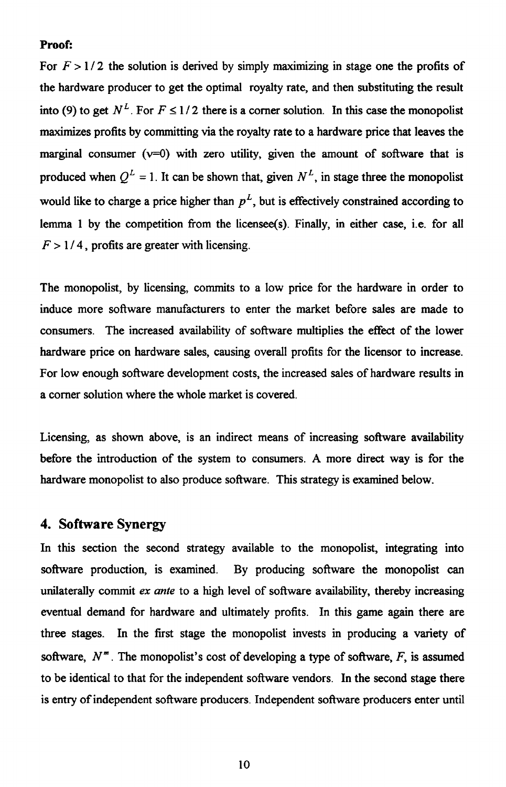#### **Proof:**

For  $F > 1/2$  the solution is derived by simply maximizing in stage one the profits of the hardware producer to get the optimal royalty rate, and then substituting the result into (9) to get  $N^L$ . For  $F \le 1/2$  there is a corner solution. In this case the monopolist maximizes profits by committing via the royalty rate to a hardware price that leaves the marginal consumer ( $v=0$ ) with zero utility, given the amount of software that is produced when  $Q^L = 1$ . It can be shown that, given  $N^L$ , in stage three the monopolist would like to charge a price higher than  $p<sup>L</sup>$ , but is effectively constrained according to lemma 1 by the competition from the licensee(s). Finally, in either case, i.e. for all  $F > 1/4$ , profits are greater with licensing.

The monopolist, by licensing, commits to a low price for the hardware in order to induce more software manufacturers to enter the market before sales are made to consumers. The increased availability of software multiplies the effect of the lower hardware price on hardware sales, causing overall profits for the licensor to increase. For low enough software development costs, the increased sales of hardware results in a corner solution where the whole market is covered.

Licensing, as shown above, is an indirect means of increasing software availability before the introduction of the system to consumers. A more direct way is for the hardware monopolist to also produce software. This strategy is examined below.

### **4. Software Synergy**

In this section the second strategy available to the monopolist, integrating into software production, is examined. By producing software the monopolist can unilaterally commit *ex ante* to a high level of software availability, thereby increasing eventual demand for hardware and ultimately profits. In this game again there are three stages. In the first stage the monopolist invests in producing a variety of software,  $N^m$ . The monopolist's cost of developing a type of software,  $F$ , is assumed to be identical to that for the independent software vendors. In the second stage there is entry of independent software producers. Independent software producers enter until

10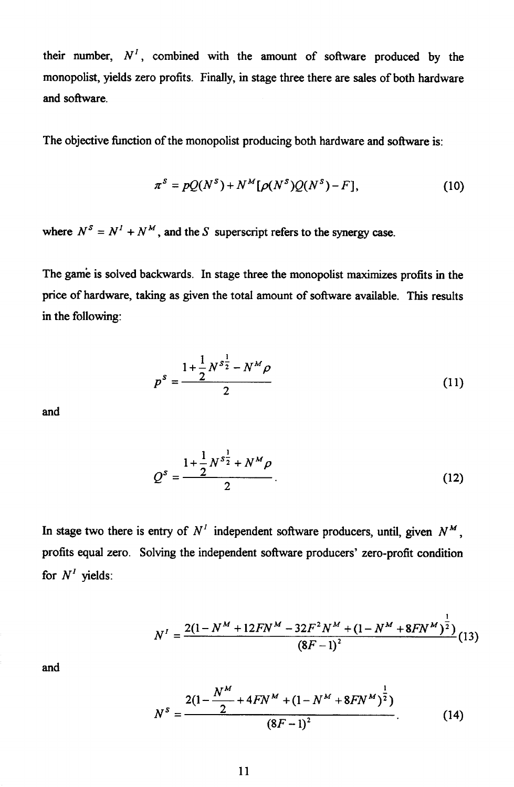their number,  $N<sup>T</sup>$ , combined with the amount of software produced by the monopolist, yields zero profits. Finally, in stage three there are sales of both hardware and software. re al e

The objective function of the monopolist producing both hardware and software is:

$$
\pi^s = pQ(N^s) + N^M[\rho(N^s)Q(N^s) - F], \qquad (10)
$$

where  $N^s = N^1 + N^M$ , and the *S* superscript refers to the synergy case.

The game is solved backwards. In stage three the monopolist maximizes profits in the price of hardware, taking as given the total amount of software available. This results in the following:

$$
p^{s} = \frac{1 + \frac{1}{2}N^{s_{2}^1} - N^M \rho}{2}
$$
 (11)

and

$$
Q^{s} = \frac{1 + \frac{1}{2}N^{s_{2}^{1}} + N^{M}\rho}{2}.
$$
 (12)

In stage two there is entry of  $N<sup>T</sup>$  independent software producers, until, given  $N<sup>M</sup>$ . profits equal zero. Solving the independent software producers' zero-profit condition for  $N<sup>I</sup>$  yields:  $\frac{1}{2}$   $N^I = \frac{2}{3}$ <br> $N^s = \frac{2}{3}$ 

$$
N^{I} = \frac{2(1 - N^{M} + 12FN^{M} - 32F^{2}N^{M} + (1 - N^{M} + 8FN^{M})^{\frac{1}{2}})}{(8F - 1)^{2}}(13)
$$

and

$$
N^{I} = \frac{2(1 - N^{M} + 12FN^{M} - 32F^{2}N^{M} + (1 - N^{M} + 8FN^{M})^{\frac{1}{2}})}{(8F - 1)^{2}}(1)
$$

$$
N^{S} = \frac{2(1 - \frac{N^{M}}{2} + 4FN^{M} + (1 - N^{M} + 8FN^{M})^{\frac{1}{2}})}{(8F - 1)^{2}}.
$$
(14)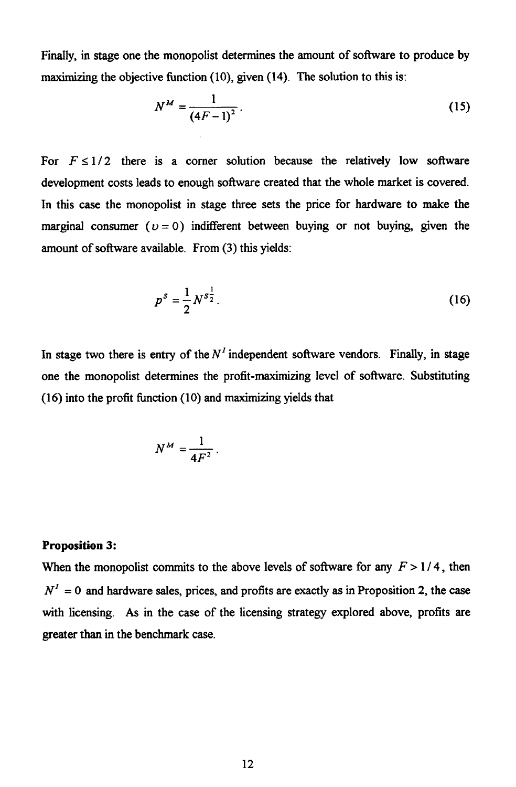Finally, in stage one the monopolist determines the amount of software to produce by

maximizing the objective function (10), given (14). The solution to this is:  
\n
$$
N^{M} = \frac{1}{(4F-1)^{2}}.
$$
\n(15)

For  $F \leq 1/2$  there is a corner solution because the relatively low software development costs leads to enough software created that the whole market is covered. In this case the monopolist in stage three sets the price for hardware to make the marginal consumer  $(v = 0)$  indifferent between buying or not buying, given the amount of software available. From (3) this yields:

$$
p^{s} = \frac{1}{2} N^{s\frac{1}{2}}.
$$
 (16)

In stage two there is entry of the  $N<sup>T</sup>$  independent software vendors. Finally, in stage one the monopolist determines the profit-maximizing level of software. Substituting (16) into the profit function (10) and maximizing yields that

$$
N^M=\frac{1}{4F^2}.
$$

#### **Proposition 3:**

When the monopolist commits to the above levels of software for any  $F > 1/4$ , then  $N<sup>I</sup> = 0$  and hardware sales, prices, and profits are exactly as in Proposition 2, the case with licensing. As in the case of the licensing strategy explored above, profits are greater than in the benchmark case.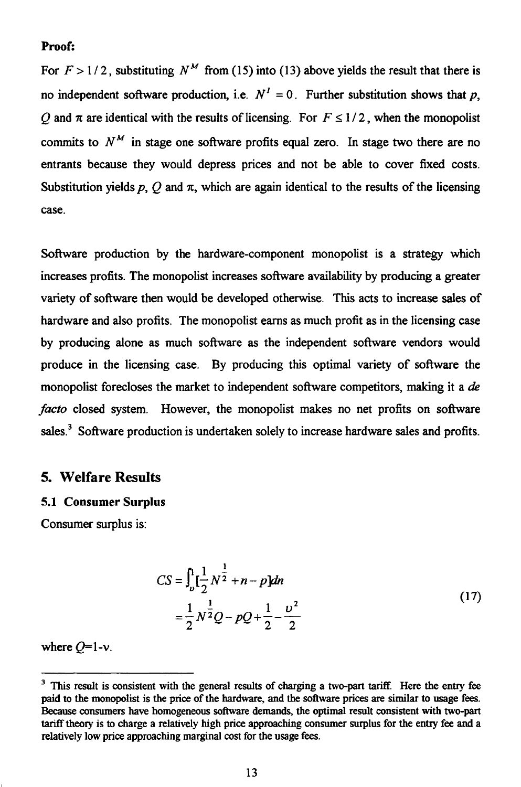#### **Proof:**

For  $F > 1/2$ , substituting  $N^M$  from (15) into (13) above yields the result that there is no independent software production, i.e.  $N^I = 0$ . Further substitution shows that *p*, *Q* and  $\pi$  are identical with the results of licensing. For  $F \le 1/2$ , when the monopolist commits to  $N<sup>M</sup>$  in stage one software profits equal zero. In stage two there are no entrants because they would depress prices and not be able to cover fixed costs. Substitution yields p,  $O$  and  $\pi$ , which are again identical to the results of the licensing case.

Software production by the hardware-component monopolist is a strategy which increases profits. The monopolist increases software availability by producing a greater variety of software then would be developed otherwise. This acts to increase sales of hardware and also profits. The monopolist earns as much profit as in the licensing case by producing alone as much software as the independent software vendors would produce in the licensing case. By producing this optimal variety of software the monopolist forecloses the market to independent software competitors, making it a *de facto* closed system. However, the monopolist makes no net profits on software sales.<sup>3</sup> Software production is undertaken solely to increase hardware sales and profits.

### **5. Welfare Results**

#### **5.1 Consumer Surplus**

Consumer surplus is:

ction is undertaken solely to increase hardware sales and profits.  
\ns  
\n
$$
CS = \int_{\nu}^{1} \left[ \frac{1}{2} N^{\frac{1}{2}} + n - p \right] dn
$$
\n
$$
= \frac{1}{2} N^{\frac{1}{2}} Q - pQ + \frac{1}{2} - \frac{\nu^2}{2}
$$
\n(17)

where  $Q=1-v$ .

<sup>&</sup>lt;sup>3</sup> This result is consistent with the general results of charging a two-part tariff. Here the entry fee paid to the monopolist is the price of the hardware, and the software prices are similar to usage fees. Because consumers have homogeneous software demands, the optimal result consistent with two-part tariff theory is to charge a relatively high price approaching consumer surplus for the entry fee and a relatively low price approaching marginal cost for the usage fees.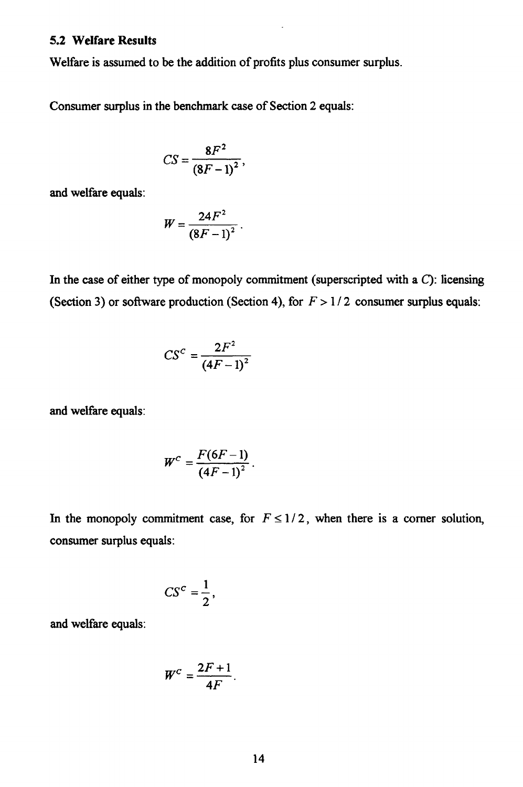#### **5.2 Welfare Results**

Welfare is assumed to be the addition of profits plus consumer surplus.

Consumer surplus in the benchmark case of Section 2 equals:

$$
CS=\frac{8F^2}{\left(8F-1\right)^2},
$$

and welfare equals:

$$
W=\frac{24F^2}{\left(8F-1\right)^2}.
$$

In the case of either type of monopoly commitment (superscripted with a *C):* licensing (Section 3) or software production (Section 4), for  $F > 1/2$  consumer surplus equals:

$$
CS^c = \frac{2F^2}{\left(4F-1\right)^2}
$$

and welfare equals:

$$
W^C=\frac{F(6F-1)}{\left(4F-1\right)^2}.
$$

In the monopoly commitment case, for  $F \leq 1/2$ , when there is a corner solution, consumer surplus equals:

$$
CS^c=\frac{1}{2},
$$

and welfare equals:

$$
W^C=\frac{2F+1}{4F}.
$$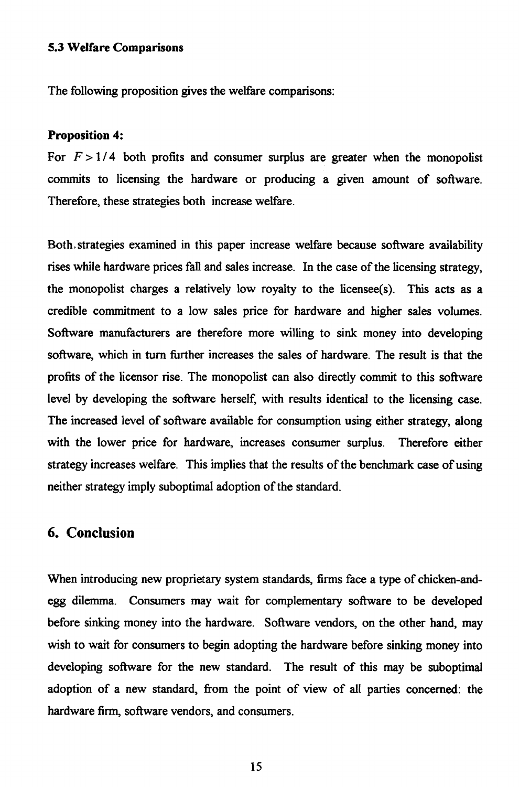#### **5.3 Welfare Comparisons**

The following proposition gives the welfare comparisons:

#### **Proposition 4:**

For  $F > 1/4$  both profits and consumer surplus are greater when the monopolist commits to licensing the hardware or producing a given amount of software. Therefore, these strategies both increase welfare.

Both. strategies examined in this paper increase welfare because software availability rises while hardware prices fall and sales increase. In the case of the licensing strategy, the monopolist charges a relatively low royalty to the licensee(s). This acts as a credible commitment to a low sales price for hardware and higher sales volumes. Software manufacturers are therefore more willing to sink money into developing software, which in turn further increases the sales of hardware. The result is that the profits of the licensor rise. The monopolist can also directly commit to this software level by developing the software herself, with results identical to the licensing case. The increased level of software available for consumption using either strategy, along with the lower price for hardware, increases consumer surplus. Therefore either strategy increases welfare. This implies that the results of the benchmark case of using neither strategy imply suboptimal adoption of the standard.

### **6. Conclusion**

When introducing new proprietary system standards, firms face a type of chicken-andegg dilemma. Consumers may wait for complementary software to be developed before sinking money into the hardware. Software vendors, on the other hand, may wish to wait for consumers to begin adopting the hardware before sinking money into developing software for the new standard. The result of this may be suboptimal adoption of a new standard, from the point of view of all parties concerned: the hardware firm, software vendors, and consumers.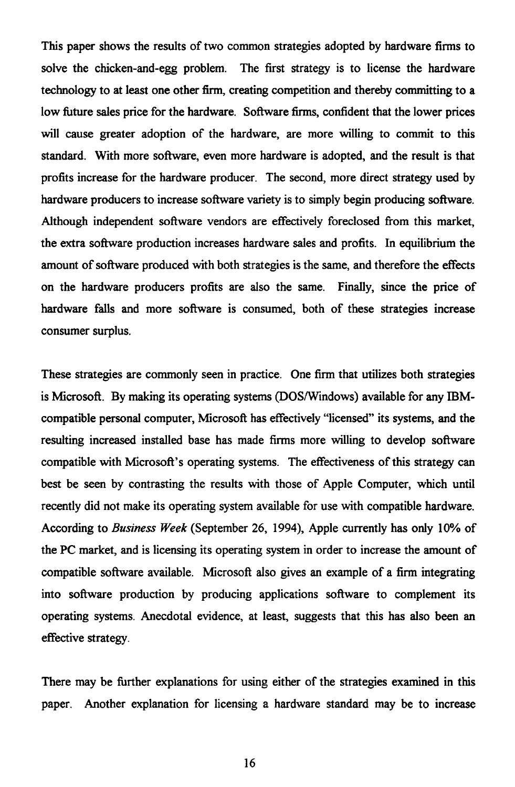This paper shows the results of two common strategies adopted by hardware firms to solve the chicken-and-egg problem. The first strategy is to license the hardware technology to at least one other firm, creating competition and thereby committing to a low future sales price for the hardware. Software firms, confident that the lower prices will cause greater adoption of the hardware, are more willing to commit to this standard. With more software, even more hardware is adopted, and the result is that profits increase for the hardware producer. The second, more direct strategy used by hardware producers to increase software variety is to simply begin producing software. Although independent software vendors are effectively foreclosed from this market, the extra software production increases hardware sales and profits. In equilibrium the amount of software produced with both strategies is the same, and therefore the effects on the hardware producers profits are also the same. Finally, since the price of hardware fails and more software is consumed, both of these strategies increase consumer surplus.

These strategies are commonly seen in practice. One firm that utilizes both strategies is Microsoft. By making its operating systems (DOS/Windows) available for any IBMcompatible personal computer, Microsoft has effectively "licensed" its systems, and the resulting increased installed base has made firms more willing to develop software compatible with Microsoft's operating systems. The effectiveness of this strategy can best be seen by contrasting the results with those of Apple Computer, which until recently did not make its operating system available for use with compatible hardware. According to *Business Week* (September 26, 1994), Apple currently has only 10% of the PC market, and is licensing its operating system in order to increase the amount of compatible software available. Microsoft also gives an example of a firm integrating into software production by producing applications software to complement its operating systems. Anecdotal evidence, at least, suggests that this has also been an effective strategy.

There may be further explanations for using either of the strategies examined in this paper. Another explanation for licensing a hardware standard may be to increase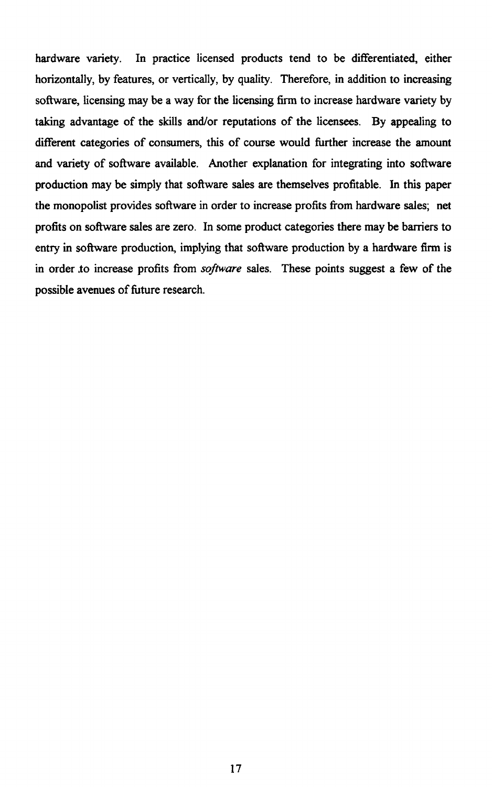hardware variety. In practice licensed products tend to be differentiated, either horizontally, by features, or vertically, by quality. Therefore, in addition to increasing software, licensing may be a way for the licensing firm to increase hardware variety by taking advantage of the skills and/or reputations of the licensees. By appealing to different categories of consumers, this of course would further increase the amount and variety of software available. Another explanation for integrating into software production may be simply that software sales are themselves profitable. In this paper the monopolist provides software in order to increase profits from hardware sales; net profits on software sales are zero. In some product categories there may be barriers to entry in software production, implying that software production by a hardware firm is in order ,to increase profits from *software* sales. These points suggest a few of the possible avenues of future research.